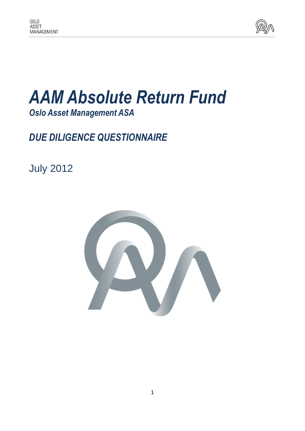

## *AAM Absolute Return Fund Oslo Asset Management ASA*

## *DUE DILIGENCE QUESTIONNAIRE*

July 2012

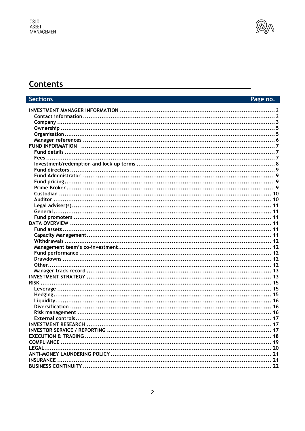

### **Contents**

#### **Sections** Page no.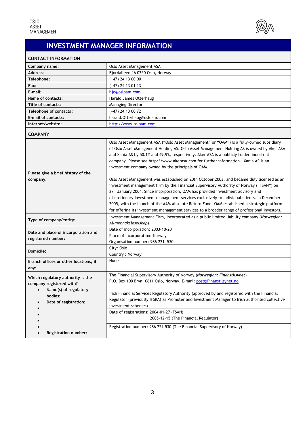

## **INVESTMENT MANAGER INFORMATION**

### <span id="page-2-0"></span>**CONTACT INFORMATION**

| Company name:                                                                                                                | Oslo Asset Management ASA                                                                                                                                                                                                                                                                                                                                                                                                                                                                                                                                                                                                                                                                                                                                                                                                                                                                                                                                                                                             |
|------------------------------------------------------------------------------------------------------------------------------|-----------------------------------------------------------------------------------------------------------------------------------------------------------------------------------------------------------------------------------------------------------------------------------------------------------------------------------------------------------------------------------------------------------------------------------------------------------------------------------------------------------------------------------------------------------------------------------------------------------------------------------------------------------------------------------------------------------------------------------------------------------------------------------------------------------------------------------------------------------------------------------------------------------------------------------------------------------------------------------------------------------------------|
| Address:                                                                                                                     | Fjordalleen 16 0250 Oslo, Norway                                                                                                                                                                                                                                                                                                                                                                                                                                                                                                                                                                                                                                                                                                                                                                                                                                                                                                                                                                                      |
| Telephone:                                                                                                                   | $(+47)$ 24 13 00 00                                                                                                                                                                                                                                                                                                                                                                                                                                                                                                                                                                                                                                                                                                                                                                                                                                                                                                                                                                                                   |
| Fax:                                                                                                                         | $(+47)$ 24 13 01 13                                                                                                                                                                                                                                                                                                                                                                                                                                                                                                                                                                                                                                                                                                                                                                                                                                                                                                                                                                                                   |
| E-mail:                                                                                                                      | hjo@osloam.com                                                                                                                                                                                                                                                                                                                                                                                                                                                                                                                                                                                                                                                                                                                                                                                                                                                                                                                                                                                                        |
| Name of contacts:                                                                                                            | Harald James Otterhaug                                                                                                                                                                                                                                                                                                                                                                                                                                                                                                                                                                                                                                                                                                                                                                                                                                                                                                                                                                                                |
| Title of contacts:                                                                                                           | <b>Managing Director</b>                                                                                                                                                                                                                                                                                                                                                                                                                                                                                                                                                                                                                                                                                                                                                                                                                                                                                                                                                                                              |
| Telephone of contacts:                                                                                                       | $(+47)$ 24 13 00 72                                                                                                                                                                                                                                                                                                                                                                                                                                                                                                                                                                                                                                                                                                                                                                                                                                                                                                                                                                                                   |
| E-mail of contacts:                                                                                                          | harald.Otterhaug@osloam.com                                                                                                                                                                                                                                                                                                                                                                                                                                                                                                                                                                                                                                                                                                                                                                                                                                                                                                                                                                                           |
| Internet/website:                                                                                                            | http://www.osloam.com                                                                                                                                                                                                                                                                                                                                                                                                                                                                                                                                                                                                                                                                                                                                                                                                                                                                                                                                                                                                 |
| <b>COMPANY</b>                                                                                                               |                                                                                                                                                                                                                                                                                                                                                                                                                                                                                                                                                                                                                                                                                                                                                                                                                                                                                                                                                                                                                       |
| Please give a brief history of the<br>company:                                                                               | Oslo Asset Management ASA ("Oslo Asset Management" or "OAM") is a fully-owned subsidiary<br>of Oslo Asset Management Holding AS. Oslo Asset Management Holding AS is owned by Aker ASA<br>and Xania AS by 50.1% and 49.9%, respectively. Aker ASA is a publicly traded industrial<br>company. Please see http://www.akerasa.com for further information. Xania AS is an<br>investment company owned by the principals of OAM.<br>Oslo Asset Management was established on 20th October 2003, and became duly licensed as an<br>investment management firm by the Financial Supervisory Authority of Norway ("FSAN") on<br>27 <sup>th</sup> January 2004. Since incorporation, OAM has provided investment advisory and<br>discretionary investment management services exclusively to individual clients. In December<br>2005, with the launch of the AAM Absolute Return Fund, OAM established a strategic platform<br>for offering its investment management services to a broader range of professional investors. |
| Type of company/entity:                                                                                                      | Investment Management Firm, incorporated as a public limited liability company (Norwegian:<br>Allmennaksjeselskap)                                                                                                                                                                                                                                                                                                                                                                                                                                                                                                                                                                                                                                                                                                                                                                                                                                                                                                    |
| Date and place of incorporation and<br>registered number:                                                                    | Date of incorporation: 2003-10-20<br>Place of incorporation: Norway<br>Organisation number: 986 221 530                                                                                                                                                                                                                                                                                                                                                                                                                                                                                                                                                                                                                                                                                                                                                                                                                                                                                                               |
| Domicile:                                                                                                                    | City: Oslo<br>Country: Norway                                                                                                                                                                                                                                                                                                                                                                                                                                                                                                                                                                                                                                                                                                                                                                                                                                                                                                                                                                                         |
| Branch offices or other locations, if<br>any:                                                                                | None                                                                                                                                                                                                                                                                                                                                                                                                                                                                                                                                                                                                                                                                                                                                                                                                                                                                                                                                                                                                                  |
| Which regulatory authority is the<br>company registered with?<br>• Name(s) of regulatory<br>bodies:<br>Date of registration: | The Financial Supervisory Authority of Norway (Norwegian: Finanstilsynet)<br>P.O. Box 100 Bryn, 0611 Oslo, Norway. E-mail: post@Finanstilsynet.no<br>Irish Financial Services Regulatory Authority (approved by and registered with the Financial<br>Regulator (previously IFSRA) as Promoter and Investment Manager to Irish authorised collective<br>investment schemes)<br>Date of registrations: 2004-01-27 (FSAN)                                                                                                                                                                                                                                                                                                                                                                                                                                                                                                                                                                                                |
|                                                                                                                              | 2005-12-15 (The Financial Regulator)                                                                                                                                                                                                                                                                                                                                                                                                                                                                                                                                                                                                                                                                                                                                                                                                                                                                                                                                                                                  |
| <b>Registration number:</b>                                                                                                  | Registration number: 986 221 530 (The Financial Supervisory of Norway)                                                                                                                                                                                                                                                                                                                                                                                                                                                                                                                                                                                                                                                                                                                                                                                                                                                                                                                                                |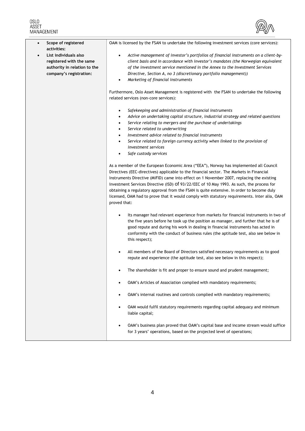# OSLO<br>ASSET<br>MANAGEMENT



| Scope of registered<br>$\bullet$<br>activities:                                                              | OAM is licensed by the FSAN to undertake the following investment services (core services):                                                                                                                                                                                                                                                                                                                                                                                                                                                                                              |
|--------------------------------------------------------------------------------------------------------------|------------------------------------------------------------------------------------------------------------------------------------------------------------------------------------------------------------------------------------------------------------------------------------------------------------------------------------------------------------------------------------------------------------------------------------------------------------------------------------------------------------------------------------------------------------------------------------------|
| List individuals also<br>registered with the same<br>authority in relation to the<br>company's registration: | Active management of investor's portfolios of financial instruments on a client-by-<br>$\bullet$<br>client basis and in accordance with investor's mandates (the Norwegian equivalent<br>of the investment service mentioned in the Annex to the Investment Services<br>Directive, Section A, no 3 (discretionary portfolio management))<br>Marketing of financial instruments<br>$\bullet$                                                                                                                                                                                              |
|                                                                                                              | Furthermore, Oslo Asset Management is registered with the FSAN to undertake the following<br>related services (non-core services):                                                                                                                                                                                                                                                                                                                                                                                                                                                       |
|                                                                                                              | Safekeeping and administration of financial instruments<br>$\bullet$<br>Advice on undertaking capital structure, industrial strategy and related questions<br>$\bullet$<br>Service relating to mergers and the purchase of undertakings<br>$\bullet$<br>Service related to underwriting<br>$\bullet$<br>Investment advice related to financial instruments<br>$\bullet$<br>Service related to foreign currency activity when linked to the provision of<br>$\bullet$<br>investment services<br>Safe custody services<br>$\bullet$                                                        |
|                                                                                                              | As a member of the European Economic Area ("EEA"), Norway has implemented all Council<br>Directives (EEC-directives) applicable to the financial sector. The Markets in Financial<br>Instruments Directive (MiFID) came into effect on 1 November 2007, replacing the existing<br>Investment Services Directive (ISD) Of 93/22/EEC of 10 May 1993. As such, the process for<br>obtaining a regulatory approval from the FSAN is quite extensive. In order to become duly<br>licensed, OAM had to prove that it would comply with statutory requirements. Inter alia, OAM<br>proved that: |
|                                                                                                              | Its manager had relevant experience from markets for financial instruments in two of<br>٠<br>the five years before he took up the position as manager, and further that he is of<br>good repute and during his work in dealing in financial instruments has acted in<br>conformity with the conduct of business rules (the aptitude test, also see below in<br>this respect);                                                                                                                                                                                                            |
|                                                                                                              | All members of the Board of Directors satisfied necessary requirements as to good<br>$\bullet$<br>repute and experience (the aptitude test, also see below in this respect);                                                                                                                                                                                                                                                                                                                                                                                                             |
|                                                                                                              | The shareholder is fit and proper to ensure sound and prudent management;<br>$\bullet$                                                                                                                                                                                                                                                                                                                                                                                                                                                                                                   |
|                                                                                                              | OAM's Articles of Association complied with mandatory requirements;<br>$\bullet$                                                                                                                                                                                                                                                                                                                                                                                                                                                                                                         |
|                                                                                                              | OAM's internal routines and controls complied with mandatory requirements;<br>$\bullet$                                                                                                                                                                                                                                                                                                                                                                                                                                                                                                  |
|                                                                                                              | OAM would fulfil statutory requirements regarding capital adequacy and minimum<br>$\bullet$<br>liable capital;                                                                                                                                                                                                                                                                                                                                                                                                                                                                           |
|                                                                                                              | OAM's business plan proved that OAM's capital base and income stream would suffice<br>$\bullet$<br>for 3 years' operations, based on the projected level of operations;                                                                                                                                                                                                                                                                                                                                                                                                                  |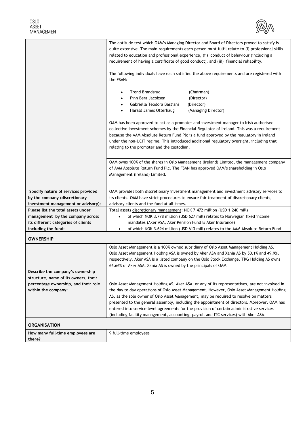

<span id="page-4-0"></span>

|                                                                                                                                      | The aptitude test which OAM's Managing Director and Board of Directors proved to satisfy is<br>quite extensive. The main requirements each person must fulfil relate to (i) professional skills<br>related to education and professional experience, (ii) conduct of behaviour (including a<br>requirement of having a certificate of good conduct), and (iii) financial reliability.<br>The following individuals have each satisfied the above requirements and are registered with<br>the FSAN: |  |
|--------------------------------------------------------------------------------------------------------------------------------------|----------------------------------------------------------------------------------------------------------------------------------------------------------------------------------------------------------------------------------------------------------------------------------------------------------------------------------------------------------------------------------------------------------------------------------------------------------------------------------------------------|--|
|                                                                                                                                      | <b>Trond Brandsrud</b><br>(Chairman)<br>$\bullet$<br>Finn Berg Jacobsen<br>(Director)<br>٠<br>Gabriella Teodora Bastiani<br>(Director)<br>٠<br>Harald James Otterhaug<br>(Managing Director)<br>٠                                                                                                                                                                                                                                                                                                  |  |
|                                                                                                                                      | OAM has been approved to act as a promoter and investment manager to Irish authorised<br>collective investment schemes by the Financial Regulator of Ireland. This was a requirement<br>because the AAM Absolute Return Fund Plc is a fund approved by the regulatory in Ireland<br>under the non-UCIT regime. This introduced additional regulatory oversight, including that<br>relating to the promoter and the custodian.                                                                      |  |
|                                                                                                                                      | OAM owns 100% of the shares in Oslo Management (Ireland) Limited, the management company<br>of AAM Absolute Return Fund Plc. The FSAN has approved OAM's shareholding in Oslo<br>Management (Ireland) Limited.                                                                                                                                                                                                                                                                                     |  |
| Specify nature of services provided<br>by the company (discretionary<br>investment management or advisory):                          | OAM provides both discretionary investment management and investment advisory services to<br>its clients. OAM have strict procedures to ensure fair treatment of discretionary clients,<br>advisory clients and the fund at all times.                                                                                                                                                                                                                                                             |  |
| Please list the total assets under<br>management by the company across<br>its different categories of clients<br>including the fund: | Total assets discretionary management: NOK 7.472 million (USD 1.240 mill)<br>of which NOK 3.778 million (USD 627 mill) relates to Norwegian fixed income<br>$\bullet$<br>mandates (Aker ASA, Aker Pension Fund & Aker Insurance)<br>of which NOK 3.694 million (USD 613 mill) relates to the AAM Absolute Return Fund<br>$\bullet$                                                                                                                                                                 |  |
| <b>OWNERSHIP</b>                                                                                                                     |                                                                                                                                                                                                                                                                                                                                                                                                                                                                                                    |  |
|                                                                                                                                      | Oslo Asset Management is a 100% owned subsidiary of Oslo Asset Management Holding AS.<br>Oslo Asset Management Holding ASA is owned by Aker ASA and Xania AS by 50.1% and 49.9%,<br>respectively. Aker ASA is a listed company on the Oslo Stock Exchange. TRG Holding AS owns<br>66.66% of Aker ASA. Xania AS is owned by the principals of OAM.                                                                                                                                                  |  |
| Describe the company's ownership<br>structure, name of its owners, their<br>percentage ownership, and their role                     | Oslo Asset Management Holding AS, Aker ASA, or any of its representatives, are not involved in                                                                                                                                                                                                                                                                                                                                                                                                     |  |
| within the company:                                                                                                                  | the day to day operations of Oslo Asset Management. However, Oslo Asset Management Holding<br>AS, as the sole owner of Oslo Asset Management, may be required to resolve on matters<br>presented to the general assembly, including the appointment of directors. Moreover, OAM has<br>entered into service level agreements for the provision of certain administrative services<br>(including facility management, accounting, payroll and ITC services) with Aker ASA.                          |  |
| <b>ORGANISATION</b>                                                                                                                  |                                                                                                                                                                                                                                                                                                                                                                                                                                                                                                    |  |
| How many full-time employees are<br>there?                                                                                           | 9 full-time employees                                                                                                                                                                                                                                                                                                                                                                                                                                                                              |  |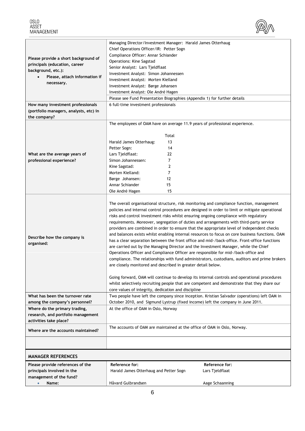

<span id="page-5-0"></span>

| Please provide a short background of<br>principals (education, career<br>background, etc.):<br>Please, attach information if<br>necessary. | Managing Director/Investment Manager: Harald James Otterhaug<br>Chief Operations Officer/IR: Petter Sogn<br>Compliance Officer: Annar Schiander<br>Operations: Kine Sagstad<br>Senior Analyst: Lars Tjeldflaat<br>Investment Analyst: Simon Johannessen<br>Investment Analyst: Morten Kielland<br>Investment Analyst: Børge Johansen<br>Investment Analyst: Ole André Hagen<br>Please see Fund Presentation Biographies (Appendix 1) for further details                                                                                                                                                                                                                                                                                                                                                                                                                                                                                                                                                                                                                                                                                                                                                                                                                                |                                                      |
|--------------------------------------------------------------------------------------------------------------------------------------------|-----------------------------------------------------------------------------------------------------------------------------------------------------------------------------------------------------------------------------------------------------------------------------------------------------------------------------------------------------------------------------------------------------------------------------------------------------------------------------------------------------------------------------------------------------------------------------------------------------------------------------------------------------------------------------------------------------------------------------------------------------------------------------------------------------------------------------------------------------------------------------------------------------------------------------------------------------------------------------------------------------------------------------------------------------------------------------------------------------------------------------------------------------------------------------------------------------------------------------------------------------------------------------------------|------------------------------------------------------|
| How many investment professionals<br>(portfolio managers, analysts, etc) in<br>the company?                                                | 6 full-time investment professionals                                                                                                                                                                                                                                                                                                                                                                                                                                                                                                                                                                                                                                                                                                                                                                                                                                                                                                                                                                                                                                                                                                                                                                                                                                                    |                                                      |
| What are the average years of<br>professional experience?                                                                                  | The employees of OAM have on average 11.9 years of professional experience.<br>Total<br>13<br>Harald James Otterhaug:<br>Petter Sogn:<br>14<br>Lars Tjeldflaat:<br>22<br>Simon Johannessen:<br>7<br>Kine Sagstad:<br>2<br>Morten Kielland:<br>7<br>Børge Johansen:<br>12<br>Annar Schiander<br>15<br>15<br>Ole André Hagen                                                                                                                                                                                                                                                                                                                                                                                                                                                                                                                                                                                                                                                                                                                                                                                                                                                                                                                                                              |                                                      |
| Describe how the company is<br>organised:                                                                                                  | The overall organisational structure, risk monitoring and compliance function, management<br>policies and internal control procedures are designed in order to limit or mitigate operational<br>risks and control investment risks whilst ensuring ongoing compliance with regulatory<br>requirements. Moreover, segregation of duties and arrangements with third-party service<br>providers are combined in order to ensure that the appropriate level of independent checks<br>and balances exists whilst enabling internal resources to focus on core business functions. OAM<br>has a clear separation between the front office and mid-/back-office. Front-office functions<br>are carried out by the Managing Director and the Investment Manager, while the Chief<br>Operations Officer and Compliance Officer are responsible for mid-/back-office and<br>compliance. The relationships with fund administrators, custodians, auditors and prime brokers<br>are closely monitored and described in greater detail below.<br>Going forward, OAM will continue to develop its internal controls and operational procedures<br>whilst selectively recruiting people that are competent and demonstrate that they share our<br>core values of integrity, dedication and discipline |                                                      |
| What has been the turnover rate                                                                                                            | Two people have left the company since inception. Kristian Salvador (operations) left OAM in                                                                                                                                                                                                                                                                                                                                                                                                                                                                                                                                                                                                                                                                                                                                                                                                                                                                                                                                                                                                                                                                                                                                                                                            |                                                      |
| among the company's personnel?<br>Where do the primary trading,<br>research, and portfolio management<br>activities take place?            | October 2010, and Sigmund Lystrup (fixed income) left the company in June 2011.<br>At the office of OAM in Oslo, Norway                                                                                                                                                                                                                                                                                                                                                                                                                                                                                                                                                                                                                                                                                                                                                                                                                                                                                                                                                                                                                                                                                                                                                                 |                                                      |
| Where are the accounts maintained?                                                                                                         | The accounts of OAM are maintained at the office of OAM in Oslo, Norway.                                                                                                                                                                                                                                                                                                                                                                                                                                                                                                                                                                                                                                                                                                                                                                                                                                                                                                                                                                                                                                                                                                                                                                                                                |                                                      |
|                                                                                                                                            |                                                                                                                                                                                                                                                                                                                                                                                                                                                                                                                                                                                                                                                                                                                                                                                                                                                                                                                                                                                                                                                                                                                                                                                                                                                                                         |                                                      |
| <b>MANAGER REFERENCES</b>                                                                                                                  |                                                                                                                                                                                                                                                                                                                                                                                                                                                                                                                                                                                                                                                                                                                                                                                                                                                                                                                                                                                                                                                                                                                                                                                                                                                                                         |                                                      |
| Please provide references of the<br>principals involved in the<br>management of the fund?<br>Name:<br>$\bullet$                            | Reference for:<br>Harald James Otterhaug and Petter Sogn<br>Håvard Gulbrandsen                                                                                                                                                                                                                                                                                                                                                                                                                                                                                                                                                                                                                                                                                                                                                                                                                                                                                                                                                                                                                                                                                                                                                                                                          | Reference for:<br>Lars Tjeldflaat<br>Aage Schaanning |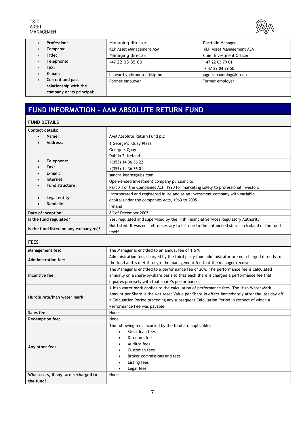

<span id="page-6-0"></span>

|           | Profession:               | Managing director          | Portfolio Manager        |
|-----------|---------------------------|----------------------------|--------------------------|
| ۰         | Company:                  | KLP Asset Management ASA   | KLP Asset Management ASA |
|           | Title:                    | Managing director          | Chief Investment Officer |
|           | Telephone:                | +47 22 03 35 00            | +47 22 03 79 01          |
| ۰         | Fax:                      |                            | + 47 22 04 39 50         |
|           | E-mail:                   | haavard.gulbrandsen@klp.no | aage.schaanning@klp.no   |
| $\bullet$ | Current and past          | Former employer            | Former employer          |
|           | relationship with the     |                            |                          |
|           | company or its principal: |                            |                          |

## **FUND INFORMATION – AAM ABSOLUTE RETURN FUND**

### **FUND DETAILS**

| <b>Contact details:</b>                |                                                                                                   |  |
|----------------------------------------|---------------------------------------------------------------------------------------------------|--|
| Name:                                  | AAM Absolute Return Fund plc                                                                      |  |
| Address:                               | 1 George's Quay Plaza                                                                             |  |
|                                        | George's Quay                                                                                     |  |
|                                        | Dublin 2, Ireland                                                                                 |  |
| Telephone:<br>$\bullet$                | $+(353)$ 14 36 36 22                                                                              |  |
| Fax:                                   | $+(353)$ 14 36 36 01                                                                              |  |
| E-mail:                                | sandra.kearns@ubs.com                                                                             |  |
| Internet:                              | Open-ended investment company pursuant to                                                         |  |
| <b>Fund structure:</b>                 | Part XII of the Companies Act, 1990 for marketing solely to professional investors                |  |
|                                        | Incorporated and registered in Ireland as an investment company with variable                     |  |
| Legal entity:                          | capital under the companies Acts, 1963 to 2005                                                    |  |
| Domicile:                              | Ireland                                                                                           |  |
| Date of inception:                     | 8 <sup>th</sup> of December 2005                                                                  |  |
| Is the fund regulated?                 | Yes, regulated and supervised by the Irish Financial Services Regulatory Authority                |  |
|                                        | Not listed. It was not felt necessary to list due to the authorised status in Ireland of the fund |  |
| Is the fund listed on any exchange(s)? | itself.                                                                                           |  |
| <b>FEES</b>                            |                                                                                                   |  |
| <b>Management fee:</b>                 | The Manager is entitled to an annual fee of 1.5 %                                                 |  |
|                                        | Administration fees charged by the third party fund administrator are not charged directly to     |  |
| <b>Administration fee:</b>             | the fund and is met through the management fee that the manager receives                          |  |
|                                        | The Manager is entitled to a performance fee of 20%. The performance fee is calculated            |  |
| Incentive fee:                         | annually on a share-by-share basis so that each share is charged a performance fee that           |  |
|                                        | equates precisely with that share's performance.                                                  |  |
|                                        | A high water mark applies to the calculation of performance fees. The High Water Mark             |  |
| Hurdle rate/high water mark:           | Amount per Share is the Net Asset Value per Share in effect immediately after the last day off    |  |
|                                        | a Calculation Period preceding any subsequent Calculation Period in respect of which a            |  |
|                                        | Performance Fee was payable.                                                                      |  |
| Sales fee:                             | None                                                                                              |  |
| <b>Redemption fee:</b>                 | None                                                                                              |  |
|                                        | The following fees incurred by the fund are applicable:                                           |  |
|                                        | Stock loan fees<br>$\bullet$                                                                      |  |
|                                        | Directors fees                                                                                    |  |
| Any other fees:                        | Auditor fees                                                                                      |  |
|                                        | Custodian fees                                                                                    |  |
|                                        | Broker commissions and fees                                                                       |  |
|                                        | Listing fees                                                                                      |  |
|                                        | Legal fees<br>$\bullet$                                                                           |  |
| What costs, if any, are recharged to   | None                                                                                              |  |
| the fund?                              |                                                                                                   |  |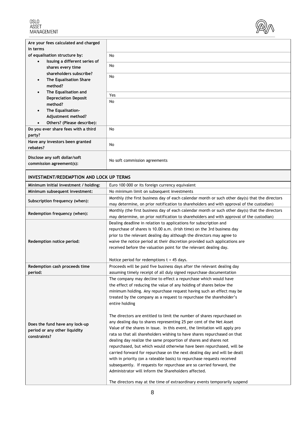

<span id="page-7-0"></span>

| Are your fees calculated and charged<br>in terms                |                                                                                                                                                                                            |
|-----------------------------------------------------------------|--------------------------------------------------------------------------------------------------------------------------------------------------------------------------------------------|
| of equalisation structure by:                                   | No                                                                                                                                                                                         |
| Issuing a different series of<br>$\bullet$<br>shares every time | No                                                                                                                                                                                         |
| shareholders subscribe?                                         | No                                                                                                                                                                                         |
| The Equalisation Share<br>$\bullet$<br>method?                  |                                                                                                                                                                                            |
| The Equalisation and<br>$\bullet$                               | Yes                                                                                                                                                                                        |
| <b>Depreciation Deposit</b><br>method?                          | No                                                                                                                                                                                         |
| The Equalisation-<br>$\bullet$                                  |                                                                                                                                                                                            |
| Adjustment method?<br>Others? (Please describe):                |                                                                                                                                                                                            |
| Do you ever share fees with a third                             | No                                                                                                                                                                                         |
| party?                                                          |                                                                                                                                                                                            |
| Have any investors been granted<br>rebates?                     | No                                                                                                                                                                                         |
| Disclose any soft dollar/soft                                   | No soft commission agreements                                                                                                                                                              |
| commission agreement(s):                                        |                                                                                                                                                                                            |
| <b>INVESTMENT/REDEMPTION AND LOCK UP TERMS</b>                  |                                                                                                                                                                                            |
| Minimum initial investment / holding:                           | Euro 100 000 or its foreign currency equivalent                                                                                                                                            |
| Minimum subsequent investment:                                  | No minimum limit on subsequent investments                                                                                                                                                 |
| Subscription frequency (when):                                  | Monthly (the first business day of each calendar month or such other day(s) that the directors<br>may determine, on prior notification to shareholders and with approval of the custodian) |
| Redemption frequency (when):                                    | Monthly (the first business day of each calendar month or such other day(s) that the directors                                                                                             |
|                                                                 | may determine, on prior notification to shareholders and with approval of the custodian)<br>Dealing deadline in relation to applications for subscription and                              |
|                                                                 | repurchase of shares is 10.00 a.m. (Irish time) on the 3rd business day                                                                                                                    |
|                                                                 | prior to the relevant dealing day although the directors may agree to                                                                                                                      |
| Redemption notice period:                                       | waive the notice period at their discretion provided such applications are                                                                                                                 |
|                                                                 | received before the valuation point for the relevant dealing day.                                                                                                                          |
|                                                                 |                                                                                                                                                                                            |
|                                                                 | Notice period for redemptions $t + 45$ days.                                                                                                                                               |
| Redemption cash proceeds time                                   | Proceeds will be paid five business days after the relevant dealing day                                                                                                                    |
| period:                                                         | assuming timely receipt of all duly signed repurchase documentation<br>The company may decline to effect a repurchase which would have                                                     |
|                                                                 | the effect of reducing the value of any holding of shares below the                                                                                                                        |
|                                                                 | minimum holding. Any repurchase request having such an effect may be                                                                                                                       |
|                                                                 | treated by the company as a request to repurchase the shareholder's                                                                                                                        |
|                                                                 | entire holding                                                                                                                                                                             |
|                                                                 |                                                                                                                                                                                            |
|                                                                 | The directors are entitled to limit the number of shares repurchased on                                                                                                                    |
| Does the fund have any lock-up                                  | any dealing day to shares representing 25 per cent of the Net Asset                                                                                                                        |
| period or any other liquidity                                   | Value of the shares in issue. In this event, the limitation will apply pro                                                                                                                 |
| constraints?                                                    | rata so that all shareholders wishing to have shares repurchased on that                                                                                                                   |
|                                                                 | dealing day realize the same proportion of shares and shares not                                                                                                                           |
|                                                                 | repurchased, but which would otherwise have been repurchased, will be                                                                                                                      |
|                                                                 | carried forward for repurchase on the next dealing day and will be dealt                                                                                                                   |
|                                                                 | with in priority (on a rateable basis) to repurchase requests received<br>subsequently. If requests for repurchase are so carried forward, the                                             |
|                                                                 | Administrator will inform the Shareholders affected.                                                                                                                                       |
|                                                                 |                                                                                                                                                                                            |
|                                                                 | The directors may at the time of extraordinary events temporarily suspend                                                                                                                  |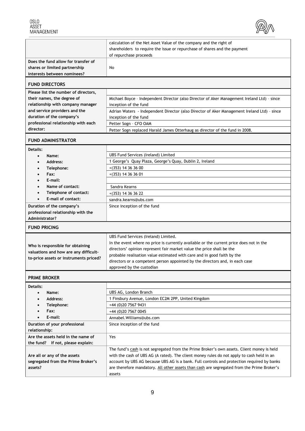

<span id="page-8-0"></span>

|                                                              | calculation of the Net Asset Value of the company and the right of                                   |
|--------------------------------------------------------------|------------------------------------------------------------------------------------------------------|
|                                                              | shareholders to require the issue or repurchase of shares and the payment                            |
|                                                              | of repurchase proceeds                                                                               |
| Does the fund allow for transfer of                          |                                                                                                      |
| shares or limited partnership<br>interests between nominees? | No                                                                                                   |
|                                                              |                                                                                                      |
| <b>FUND DIRECTORS</b>                                        |                                                                                                      |
| Please list the number of directors,                         |                                                                                                      |
| their names, the degree of                                   | Michael Boyce - Independent Director (also Director of Aker Management Ireland Ltd) - since          |
| relationship with company manager                            | inception of the fund                                                                                |
| and service providers and the                                | Adrian Waters - Independent Director (also Director of Aker Management Ireland Ltd) - since          |
| duration of the company's                                    | inception of the fund                                                                                |
| professional relationship with each                          | Petter Sogn - CFO OAM                                                                                |
| director:                                                    | Petter Sogn replaced Harald James Otterhaug as director of the fund in 2008.                         |
| <b>FUND ADMINISTRATOR</b>                                    |                                                                                                      |
| <b>Details:</b>                                              |                                                                                                      |
| Name:<br>$\bullet$                                           | <b>UBS Fund Services (Ireland) Limited</b>                                                           |
| Address:                                                     | 1 George's Quay Plaza, George's Quay, Dublin 2, Ireland                                              |
| Telephone:                                                   | $+(353)$ 14 36 36 00                                                                                 |
| Fax:                                                         | $+(353)$ 14 36 36 01                                                                                 |
| E-mail:                                                      |                                                                                                      |
| Name of contact:                                             | Sandra Kearns                                                                                        |
| Telephone of contact:                                        | $+(353)$ 14 36 36 22                                                                                 |
| E-mail of contact:                                           | sandra.kearns@ubs.com                                                                                |
| Duration of the company's                                    | Since inception of the fund                                                                          |
|                                                              |                                                                                                      |
| professional relationship with the                           |                                                                                                      |
| Administrator?                                               |                                                                                                      |
| <b>FUND PRICING</b>                                          |                                                                                                      |
|                                                              | UBS Fund Services (Ireland) Limited.                                                                 |
|                                                              | In the event where no price is currently available or the current price does not in the              |
| Who is responsible for obtaining                             | directors' opinion represent fair market value the price shall be the                                |
| valuations and how are any difficult-                        | probable realisation value estimated with care and in good faith by the                              |
| to-price assets or instruments priced?                       | directors or a competent person appointed by the directors and, in each case                         |
|                                                              | approved by the custodian                                                                            |
| <b>PRIME BROKER</b>                                          |                                                                                                      |
| Details:                                                     |                                                                                                      |
| Name:<br>$\bullet$                                           | UBS AG, London Branch                                                                                |
| Address:<br>$\bullet$                                        | 1 Finsbury Avenue, London EC2M 2PP, United Kingdom                                                   |
| Telephone:                                                   | +44 (0)20 7567 9431                                                                                  |
| Fax:                                                         | +44 (0)20 7567 0045                                                                                  |
| E-mail:                                                      | Annabel. Williams@ubs.com                                                                            |
| Duration of your professional                                | Since inception of the fund                                                                          |
| relationship:                                                |                                                                                                      |
| Are the assets held in the name of                           | Yes                                                                                                  |
| the fund? If not, please explain:                            |                                                                                                      |
|                                                              | The fund's cash is not segregated from the Prime Broker's own assets. Client money is held           |
| Are all or any of the assets                                 | with the cash of UBS AG (A rated). The client money rules do not apply to cash held in an            |
| segregated from the Prime Broker's<br>assets?                | account by UBS AG because UBS AG is a bank. Full controls and protection required by banks           |
|                                                              | are therefore mandatory. All other assets than cash are segregated from the Prime Broker's<br>assets |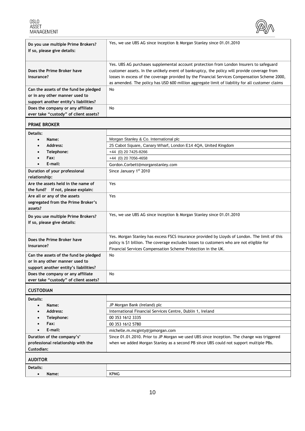

<span id="page-9-0"></span>

| Do you use multiple Prime Brokers?<br>If so, please give details:                                                                                                                              | Yes, we use UBS AG since inception & Morgan Stanley since 01.01.2010                                                                                                                                                                                                                                                                                                                       |
|------------------------------------------------------------------------------------------------------------------------------------------------------------------------------------------------|--------------------------------------------------------------------------------------------------------------------------------------------------------------------------------------------------------------------------------------------------------------------------------------------------------------------------------------------------------------------------------------------|
| Does the Prime Broker have<br>insurance?                                                                                                                                                       | Yes. UBS AG purchases supplemental account protection from London Insurers to safeguard<br>customer assets. In the unlikely event of bankruptcy, the policy will provide coverage from<br>losses in excess of the coverage provided by the Financial Services Compensation Scheme 2000,<br>as amended. The policy has USD 600 million aggregate limit of liability for all customer claims |
| Can the assets of the fund be pledged<br>or in any other manner used to<br>support another entity's liabilities?<br>Does the company or any affiliate<br>ever take "custody" of client assets? | No<br>No                                                                                                                                                                                                                                                                                                                                                                                   |
| <b>PRIME BROKER</b>                                                                                                                                                                            |                                                                                                                                                                                                                                                                                                                                                                                            |
| Details:                                                                                                                                                                                       | Morgan Stanley & Co. International plc                                                                                                                                                                                                                                                                                                                                                     |
| Name:<br>$\bullet$<br>Address:<br>$\bullet$<br>Telephone:                                                                                                                                      | 25 Cabot Square, Canary Wharf, London E14 4QA, United Kingdom<br>+44 (0) 20 7425-8266                                                                                                                                                                                                                                                                                                      |
| Fav.                                                                                                                                                                                           | $(11.10)$ OO JOEC 1050                                                                                                                                                                                                                                                                                                                                                                     |

| Telephone:                            | +44 (U) 20 / 425-8200                                                                         |
|---------------------------------------|-----------------------------------------------------------------------------------------------|
| Fax:                                  | +44 (0) 20 7056-4658                                                                          |
| E-mail:<br>$\bullet$                  | Gordon.Corbett@morganstanley.com                                                              |
| Duration of your professional         | Since January 1st 2010                                                                        |
| relationship:                         |                                                                                               |
| Are the assets held in the name of    | Yes                                                                                           |
| the fund? If not, please explain:     |                                                                                               |
| Are all or any of the assets          | Yes                                                                                           |
| segregated from the Prime Broker's    |                                                                                               |
| assets?                               |                                                                                               |
| Do you use multiple Prime Brokers?    | Yes, we use UBS AG since inception & Morgan Stanley since 01.01.2010                          |
| If so, please give details:           |                                                                                               |
|                                       |                                                                                               |
| Does the Prime Broker have            | Yes. Morgan Stanley has excess FSCS insurance provided by Lloyds of London. The limit of this |
|                                       | policy is \$1 billion. The coverage excludes losses to customers who are not eligible for     |
| insurance?                            | Financial Services Compensation Scheme Protection in the UK.                                  |
| Can the assets of the fund be pledged | No                                                                                            |
| or in any other manner used to        |                                                                                               |
| support another entity's liabilities? |                                                                                               |
| Does the company or any affiliate     | No                                                                                            |
| ever take "custody" of client assets? |                                                                                               |

### **CUSTODIAN**

| <b>CUJIVDIAI</b>                   |                                                                                            |
|------------------------------------|--------------------------------------------------------------------------------------------|
| Details:                           |                                                                                            |
| Name:<br>$\bullet$                 | JP Morgan Bank (Ireland) plc                                                               |
| Address:<br>$\bullet$              | International Financial Services Centre, Dublin 1, Ireland                                 |
| Telephone:                         | 00 353 1612 3335                                                                           |
| Fax:<br>$\bullet$                  | 00 353 1612 5780                                                                           |
| E-mail:<br>$\bullet$               | michelle.m.mcginty@jpmorgan.com                                                            |
| Duration of the company's'         | Since 01.01.2010. Prior to JP Morgan we used UBS since inception. The change was triggered |
| professional relationship with the | when we added Morgan Stanley as a second PB since UBS could not support multiple PBs.      |
| Custodian:                         |                                                                                            |
| <b>AUDITOR</b>                     |                                                                                            |
| Details:                           |                                                                                            |
| Name:                              | <b>KPMG</b>                                                                                |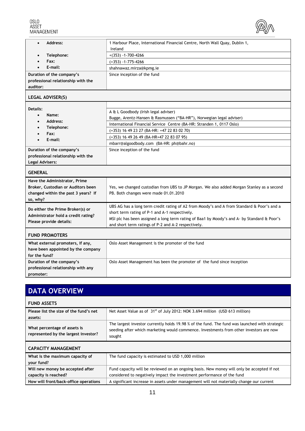

<span id="page-10-0"></span>

| Address:                            | 1 Harbour Place, International Financial Centre, North Wall Quay, Dublin 1,                 |
|-------------------------------------|---------------------------------------------------------------------------------------------|
|                                     | Ireland                                                                                     |
| Telephone:                          | $+(353) - 1 - 700 - 4266$                                                                   |
| Fax:                                | $(+353) -1 - 775 - 4266$                                                                    |
| E-mail:                             | shahnawaz.mirza@kpmg.ie                                                                     |
| Duration of the company's           | Since inception of the fund                                                                 |
| professional relationship with the  |                                                                                             |
| auditor:                            |                                                                                             |
| <b>LEGAL ADVISER(S)</b>             |                                                                                             |
|                                     |                                                                                             |
| Details:                            | A & L Goodbody (Irish legal adviser)                                                        |
| Name:<br>$\bullet$                  | Bugge, Arentz-Hansen & Rasmussen ("BA-HR"), Norwegian legal adviser)                        |
| Address:<br>$\bullet$               | International Financial Service Centre (BA-HR: Stranden 1, 0117 Oslo)                       |
| Telephone:<br>Fax:                  | (+353) 16 49 23 27 (BA-HR: +47 22 83 02 70)                                                 |
| E-mail:                             | (+353) 16 49 26 49 (BA-HR+47 22 83 07 95)                                                   |
|                                     | mbarr@algoodbody.com (BA-HR: ph@bahr.no)                                                    |
| Duration of the company's           | Since inception of the fund                                                                 |
| professional relationship with the  |                                                                                             |
| <b>Legal Advisers:</b>              |                                                                                             |
| <b>GENERAL</b>                      |                                                                                             |
| Have the Administrator, Prime       |                                                                                             |
| Broker, Custodian or Auditors been  | Yes, we changed custodian from UBS to JP Morgan. We also added Morgan Stanley as a second   |
| changed within the past 3 years? If | PB. Both changes were made 01.01.2010                                                       |
| so, why?                            |                                                                                             |
| Do either the Prime Broker(s) or    | UBS AG has a long term credit rating of A2 from Moody's and A from Standard & Poor's and a  |
| Administrator hold a credit rating? | short term rating of P-1 and A-1 respectively.                                              |
| Please provide details:             | MSI plc has been assigned a long term rating of Baa1 by Moody's and A- by Standard & Poor's |
|                                     | and short term ratings of P-2 and A-2 respectively.                                         |
| <b>FUND PROMOTERS</b>               |                                                                                             |
| What external promoters, if any,    | Oslo Asset Management is the promoter of the fund                                           |
| have been appointed by the company  |                                                                                             |
| for the fund?                       |                                                                                             |
| Duration of the company's           | Oslo Asset Management has been the promoter of the fund since inception                     |
| professional relationship with any  |                                                                                             |
| promoter:                           |                                                                                             |

| <b>DATA OVERVIEW</b>                                                 |                                                                                                                                                                                                    |
|----------------------------------------------------------------------|----------------------------------------------------------------------------------------------------------------------------------------------------------------------------------------------------|
| <b>FUND ASSETS</b>                                                   |                                                                                                                                                                                                    |
| Please list the size of the fund's net<br>assets:                    | Net Asset Value as of $31st$ of July 2012: NOK 3.694 million (USD 613 million)                                                                                                                     |
| What percentage of assets is<br>represented by the largest investor? | The largest investor currently holds 19.98 % of the fund. The fund was launched with strategic<br>seeding after which marketing would commence. Investments from other investors are now<br>sought |
| <b>CAPACITY MANAGEMENT</b>                                           |                                                                                                                                                                                                    |
| What is the maximum capacity of<br>your fund?                        | The fund capacity is estimated to USD 1,000 million                                                                                                                                                |
| Will new money be accepted after<br>capacity is reached?             | Fund capacity will be reviewed on an ongoing basis. New money will only be accepted if not<br>considered to negatively impact the investment performance of the fund                               |
| How will front/back-office operations                                | A significant increase in assets under management will not materially change our current                                                                                                           |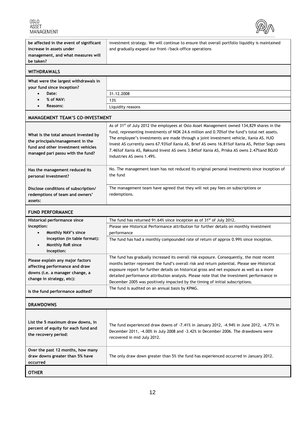

<span id="page-11-0"></span>

| be affected in the event of significant<br>increase in assets under<br>management, and what measures will<br>be taken?                              | investment strategy. We will continue to ensure that overall portfolio liquidity is maintained<br>and gradually expand our front-/back-office operations                                                                                                                                                                                                                                                                                                                                                                      |
|-----------------------------------------------------------------------------------------------------------------------------------------------------|-------------------------------------------------------------------------------------------------------------------------------------------------------------------------------------------------------------------------------------------------------------------------------------------------------------------------------------------------------------------------------------------------------------------------------------------------------------------------------------------------------------------------------|
| WITHDRAWALS                                                                                                                                         |                                                                                                                                                                                                                                                                                                                                                                                                                                                                                                                               |
| What were the largest withdrawals in<br>your fund since inception?<br>Date:<br>% of NAV:<br>Reasons:                                                | 31.12.2008<br>13%<br>Liquidity reasons                                                                                                                                                                                                                                                                                                                                                                                                                                                                                        |
| <b>MANAGEMENT TEAM'S CO-INVESTMENT</b>                                                                                                              |                                                                                                                                                                                                                                                                                                                                                                                                                                                                                                                               |
| What is the total amount invested by<br>the principals/management in the<br>fund and other investment vehicles<br>managed pari passu with the fund? | As of 31 <sup>st</sup> of July 2012 the employees at Oslo Asset Management owned 134,829 shares in the<br>fund, representing investments of NOK 24.6 million and 0.70% of the fund's total net assets.<br>The employee's investments are made through a joint investment vehicle, Xania AS. HJO<br>Invest AS currently owns 67.93% of Xania AS, Brief AS owns 16.81% of Xania AS, Petter Sogn owns<br>7.46% of Xania AS, Røksund Invest AS owns 3.84% of Xania AS, Priska AS owns 2.47% and BOJO<br>Industries AS owns 1.49%. |
| Has the management reduced its<br>personal investment?                                                                                              | No. The management team has not reduced its original personal investments since inception of<br>the fund                                                                                                                                                                                                                                                                                                                                                                                                                      |
| Disclose conditions of subscription/<br>redemptions of team and owners'<br>assets:                                                                  | The management team have agreed that they will not pay fees on subscriptions or<br>redemptions.                                                                                                                                                                                                                                                                                                                                                                                                                               |
| <b>FUND PERFORMANCE</b>                                                                                                                             |                                                                                                                                                                                                                                                                                                                                                                                                                                                                                                                               |
| Historical performance since<br>inception:<br>Monthly NAV's since<br>inception (in table format):<br>Monthly RoR since<br>inception:                | The fund has returned 91.64% since inception as of $31st$ of July 2012.<br>Please see Historical Performance attribution for further details on monthly investment<br>performance<br>The fund has had a monthly compounded rate of return of approx 0.99% since inception.                                                                                                                                                                                                                                                    |
| Please explain any major factors<br>affecting performance and draw<br>downs (i.e. a manager change, a<br>change in strategy, etc):                  | The fund has gradually increased its overall risk exposure. Consequently, the most recent<br>months better represent the fund's overall risk and return potential. Please see Historical<br>exposure report for further details on historical gross and net exposure as well as a more<br>detailed performance attribution analysis. Please note that the investment performance in<br>December 2005 was positively impacted by the timing of initial subscriptions.<br>The fund is audited on an annual basis by KPMG.       |
| Is the fund performance audited?                                                                                                                    |                                                                                                                                                                                                                                                                                                                                                                                                                                                                                                                               |
| <b>DRAWDOWNS</b>                                                                                                                                    |                                                                                                                                                                                                                                                                                                                                                                                                                                                                                                                               |
| List the 5 maximum draw downs, in<br>percent of equity for each fund and<br>the recovery period:                                                    | The fund experienced draw downs of -7.41% in January 2012, -4.94% in June 2012, -4.77% in<br>December 2011, -4.00% in July 2008 and -3.42% in December 2006. The drawdowns were<br>recovered in mid July 2012.                                                                                                                                                                                                                                                                                                                |
| Over the past 12 months, how many<br>draw downs greater than 5% have<br>occurred                                                                    | The only draw down greater than 5% the fund has experienced occurred in January 2012.                                                                                                                                                                                                                                                                                                                                                                                                                                         |
| <b>OTHER</b>                                                                                                                                        |                                                                                                                                                                                                                                                                                                                                                                                                                                                                                                                               |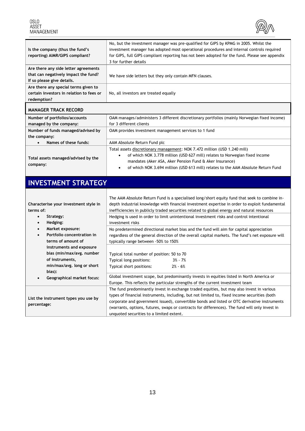<span id="page-12-0"></span>OSLO<br>ASSET<br>MANAGEMENT



| Is the company (thus the fund's<br>reporting) AIMR/GIPS compliant?                                                      | No, but the investment manager was pre-qualified for GIPS by KPMG in 2005. Whilst the<br>investment manager has adopted most operational procedures and internal controls required<br>for GIPS, full GIPS compliant reporting has not been adopted for the fund. Please see appendix<br>3 for further details                                                                              |
|-------------------------------------------------------------------------------------------------------------------------|--------------------------------------------------------------------------------------------------------------------------------------------------------------------------------------------------------------------------------------------------------------------------------------------------------------------------------------------------------------------------------------------|
| Are there any side letter agreements<br>that can negatively impact the fund?<br>If so please give details.              | We have side letters but they only contain MFN clauses.                                                                                                                                                                                                                                                                                                                                    |
| Are there any special terms given to<br>certain investors in relation to fees or<br>redemption?                         | No, all investors are treated equally                                                                                                                                                                                                                                                                                                                                                      |
| <b>MANAGER TRACK RECORD</b>                                                                                             |                                                                                                                                                                                                                                                                                                                                                                                            |
| Number of portfolios/accounts<br>managed by the company:                                                                | OAM manages/administers 3 different discretionary portfolios (mainly Norwegian fixed income)<br>for 3 different clients                                                                                                                                                                                                                                                                    |
| Number of funds managed/advised by<br>the company:                                                                      | OAM provides investment management services to 1 fund                                                                                                                                                                                                                                                                                                                                      |
| Names of these funds:                                                                                                   | AAM Absolute Return Fund plc                                                                                                                                                                                                                                                                                                                                                               |
| Total assets managed/advised by the<br>company:                                                                         | Total assets discretionary management: NOK 7.472 million (USD 1.240 mill)<br>of which NOK 3.778 million (USD 627 mill) relates to Norwegian fixed income<br>$\bullet$<br>mandates (Aker ASA, Aker Pension Fund & Aker Insurance)<br>of which NOK 3.694 million (USD 613 mill) relates to the AAM Absolute Return Fund                                                                      |
|                                                                                                                         |                                                                                                                                                                                                                                                                                                                                                                                            |
| <b>INVESTMENT STRATEGY</b>                                                                                              |                                                                                                                                                                                                                                                                                                                                                                                            |
| Characterise your investment style in<br>terms of:<br>Strategy:<br>$\bullet$                                            | The AAM Absolute Return Fund is a specialised long/short equity fund that seek to combine in-<br>depth industrial knowledge with financial investment expertise in order to exploit fundamental<br>inefficiencies in publicly traded securities related to global energy and natural resources<br>Hedging is used in order to limit unintentional investment risks and control intentional |
| Hedging:<br>$\bullet$<br>Market exposure:<br>$\bullet$<br>Portfolio concentration in<br>$\bullet$<br>terms of amount of | investment risks<br>No predetermined directional market bias and the fund will aim for capital appreciation<br>regardless of the general direction of the overall capital markets. The fund's net exposure will<br>typically range between -50% to 150%                                                                                                                                    |
| instruments and exposure<br>bias (min/max/avg. number<br>of instruments,<br>min/max/avg. long or short                  | Typical total number of position: 50 to 70<br>Typical long positions:<br>$3% - 7%$<br>Typical short positions:<br>$2\% - 6\%$                                                                                                                                                                                                                                                              |
| bias):<br><b>Geographical market focus:</b>                                                                             | Global investment scope, but predominantly invests in equities listed in North America or<br>Europe. This reflects the particular strengths of the current investment team                                                                                                                                                                                                                 |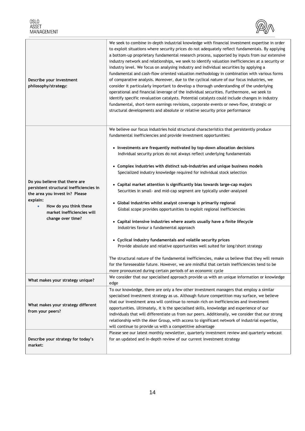

| Describe your investment<br>philosophy/strategy:       | We seek to combine in-depth industrial knowledge with financial investment expertise in order<br>to exploit situations where security prices do not adequately reflect fundamentals. By applying<br>a bottom-up proprietary fundamental research process, supported by inputs from our extensive<br>industry network and relationships, we seek to identify valuation inefficiencies at a security or<br>industry level. We focus on analysing industry and individual securities by applying a<br>fundamental and cash-flow oriented valuation methodology in combination with various forms<br>of comparative analysis. Moreover, due to the cyclical nature of our focus industries, we<br>consider it particularly important to develop a thorough understanding of the underlying<br>operational and financial leverage of the individual securities. Furthermore, we seek to<br>identify specific revaluation catalysts. Potential catalysts could include changes in industry<br>fundamental, short-term earnings revisions, corporate events or news-flow, strategic or<br>structural developments and absolute or relative security price performance |
|--------------------------------------------------------|----------------------------------------------------------------------------------------------------------------------------------------------------------------------------------------------------------------------------------------------------------------------------------------------------------------------------------------------------------------------------------------------------------------------------------------------------------------------------------------------------------------------------------------------------------------------------------------------------------------------------------------------------------------------------------------------------------------------------------------------------------------------------------------------------------------------------------------------------------------------------------------------------------------------------------------------------------------------------------------------------------------------------------------------------------------------------------------------------------------------------------------------------------------|
|                                                        | We believe our focus industries hold structural characteristics that persistently produce<br>fundamental inefficiencies and provide investment opportunities:                                                                                                                                                                                                                                                                                                                                                                                                                                                                                                                                                                                                                                                                                                                                                                                                                                                                                                                                                                                                  |
|                                                        | • Investments are frequently motivated by top-down allocation decisions                                                                                                                                                                                                                                                                                                                                                                                                                                                                                                                                                                                                                                                                                                                                                                                                                                                                                                                                                                                                                                                                                        |
|                                                        | Individual security prices do not always reflect underlying fundamentals                                                                                                                                                                                                                                                                                                                                                                                                                                                                                                                                                                                                                                                                                                                                                                                                                                                                                                                                                                                                                                                                                       |
|                                                        |                                                                                                                                                                                                                                                                                                                                                                                                                                                                                                                                                                                                                                                                                                                                                                                                                                                                                                                                                                                                                                                                                                                                                                |
|                                                        | • Complex industries with distinct sub-industries and unique business models<br>Specialized industry knowledge required for individual stock selection                                                                                                                                                                                                                                                                                                                                                                                                                                                                                                                                                                                                                                                                                                                                                                                                                                                                                                                                                                                                         |
|                                                        |                                                                                                                                                                                                                                                                                                                                                                                                                                                                                                                                                                                                                                                                                                                                                                                                                                                                                                                                                                                                                                                                                                                                                                |
| Do you believe that there are                          | • Capital market attention is significantly bias towards large-cap majors                                                                                                                                                                                                                                                                                                                                                                                                                                                                                                                                                                                                                                                                                                                                                                                                                                                                                                                                                                                                                                                                                      |
| persistent structural inefficiencies in                | Securities in small- and mid-cap segment are typically under-analysed                                                                                                                                                                                                                                                                                                                                                                                                                                                                                                                                                                                                                                                                                                                                                                                                                                                                                                                                                                                                                                                                                          |
| the area you invest in? Please<br>explain:             |                                                                                                                                                                                                                                                                                                                                                                                                                                                                                                                                                                                                                                                                                                                                                                                                                                                                                                                                                                                                                                                                                                                                                                |
| How do you think these<br>$\bullet$                    | • Global industries whilst analyst coverage is primarily regional                                                                                                                                                                                                                                                                                                                                                                                                                                                                                                                                                                                                                                                                                                                                                                                                                                                                                                                                                                                                                                                                                              |
| market inefficiencies will<br>change over time?        | Global scope provides opportunities to exploit regional inefficiencies                                                                                                                                                                                                                                                                                                                                                                                                                                                                                                                                                                                                                                                                                                                                                                                                                                                                                                                                                                                                                                                                                         |
|                                                        |                                                                                                                                                                                                                                                                                                                                                                                                                                                                                                                                                                                                                                                                                                                                                                                                                                                                                                                                                                                                                                                                                                                                                                |
|                                                        | • Capital intensive industries where assets usually have a finite lifecycle<br>Industries favour a fundamental approach                                                                                                                                                                                                                                                                                                                                                                                                                                                                                                                                                                                                                                                                                                                                                                                                                                                                                                                                                                                                                                        |
|                                                        |                                                                                                                                                                                                                                                                                                                                                                                                                                                                                                                                                                                                                                                                                                                                                                                                                                                                                                                                                                                                                                                                                                                                                                |
|                                                        | • Cyclical industry fundamentals and volatile security prices                                                                                                                                                                                                                                                                                                                                                                                                                                                                                                                                                                                                                                                                                                                                                                                                                                                                                                                                                                                                                                                                                                  |
|                                                        | Provide absolute and relative opportunities well suited for long/short strategy                                                                                                                                                                                                                                                                                                                                                                                                                                                                                                                                                                                                                                                                                                                                                                                                                                                                                                                                                                                                                                                                                |
|                                                        |                                                                                                                                                                                                                                                                                                                                                                                                                                                                                                                                                                                                                                                                                                                                                                                                                                                                                                                                                                                                                                                                                                                                                                |
|                                                        | The structural nature of the fundamental inefficiencies, make us believe that they will remain                                                                                                                                                                                                                                                                                                                                                                                                                                                                                                                                                                                                                                                                                                                                                                                                                                                                                                                                                                                                                                                                 |
|                                                        | for the foreseeable future. However, we are mindful that certain inefficiencies tend to be                                                                                                                                                                                                                                                                                                                                                                                                                                                                                                                                                                                                                                                                                                                                                                                                                                                                                                                                                                                                                                                                     |
|                                                        | more pronounced during certain periods of an economic cycle<br>We consider that our specialised approach provide us with an unique information or knowledge                                                                                                                                                                                                                                                                                                                                                                                                                                                                                                                                                                                                                                                                                                                                                                                                                                                                                                                                                                                                    |
| What makes your strategy unique?                       | edge                                                                                                                                                                                                                                                                                                                                                                                                                                                                                                                                                                                                                                                                                                                                                                                                                                                                                                                                                                                                                                                                                                                                                           |
|                                                        | To our knowledge, there are only a few other investment managers that employ a similar                                                                                                                                                                                                                                                                                                                                                                                                                                                                                                                                                                                                                                                                                                                                                                                                                                                                                                                                                                                                                                                                         |
| What makes your strategy different<br>from your peers? | specialised investment strategy as us. Although future competition may surface, we believe                                                                                                                                                                                                                                                                                                                                                                                                                                                                                                                                                                                                                                                                                                                                                                                                                                                                                                                                                                                                                                                                     |
|                                                        | that our investment area will continue to remain rich on inefficiencies and investment                                                                                                                                                                                                                                                                                                                                                                                                                                                                                                                                                                                                                                                                                                                                                                                                                                                                                                                                                                                                                                                                         |
|                                                        | opportunities. Ultimately, it is the specialised skills, knowledge and experience of our                                                                                                                                                                                                                                                                                                                                                                                                                                                                                                                                                                                                                                                                                                                                                                                                                                                                                                                                                                                                                                                                       |
|                                                        | individuals that will differentiate us from our peers. Additionally, we consider that our strong<br>relationship with the Aker Group, with access to significant network of industrial expertise,                                                                                                                                                                                                                                                                                                                                                                                                                                                                                                                                                                                                                                                                                                                                                                                                                                                                                                                                                              |
|                                                        | will continue to provide us with a competitive advantage                                                                                                                                                                                                                                                                                                                                                                                                                                                                                                                                                                                                                                                                                                                                                                                                                                                                                                                                                                                                                                                                                                       |
|                                                        | Please see our latest monthly newsletter, quarterly investment review and quarterly webcast                                                                                                                                                                                                                                                                                                                                                                                                                                                                                                                                                                                                                                                                                                                                                                                                                                                                                                                                                                                                                                                                    |
| Describe your strategy for today's                     | for an updated and in-depth review of our current investment strategy                                                                                                                                                                                                                                                                                                                                                                                                                                                                                                                                                                                                                                                                                                                                                                                                                                                                                                                                                                                                                                                                                          |
| market:                                                |                                                                                                                                                                                                                                                                                                                                                                                                                                                                                                                                                                                                                                                                                                                                                                                                                                                                                                                                                                                                                                                                                                                                                                |
|                                                        |                                                                                                                                                                                                                                                                                                                                                                                                                                                                                                                                                                                                                                                                                                                                                                                                                                                                                                                                                                                                                                                                                                                                                                |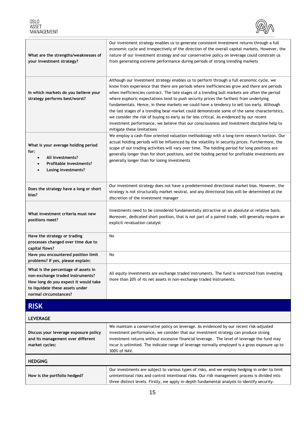

<span id="page-14-0"></span>

| What are the strengths/weaknesses of<br>your investment strategy?                                                                                                           | Our investment strategy enables us to generate consistent investment returns through a full<br>economic cycle and irrespectively of the direction of the overall capital markets. However, the<br>nature of our investment strategy and our conservative policy on leverage could constrain us<br>from generating extreme performance during periods of strong trending markets                                                                                                                                                                                                                                                                                                                                                                                                                           |
|-----------------------------------------------------------------------------------------------------------------------------------------------------------------------------|-----------------------------------------------------------------------------------------------------------------------------------------------------------------------------------------------------------------------------------------------------------------------------------------------------------------------------------------------------------------------------------------------------------------------------------------------------------------------------------------------------------------------------------------------------------------------------------------------------------------------------------------------------------------------------------------------------------------------------------------------------------------------------------------------------------|
| In which markets do you believe your<br>strategy performs best/worst?                                                                                                       | Although our investment strategy enables us to perform through a full economic cycle, we<br>know from experience that there are periods where inefficiencies grow and there are periods<br>when inefficiencies contract. The late stages of a trending bull markets are often the period<br>where euphoric expectations tend to push security prices the farthest from underlying<br>fundamentals. Hence, in these markets we could have a tendency to sell too early. Although<br>the last stages of a trending bear market could demonstrate some of the same characteristics,<br>we consider the risk of buying to early as far less critical. As evidenced by our recent<br>investment performance, we believe that our consciousness and investment discipline help to<br>mitigate these limitations |
| What is your average holding period<br>for:<br>All investments?<br>$\bullet$<br>Profitable investments?<br>Losing investments?                                              | We employ a cash-flow oriented valuation methodology with a long-term research horizon. Our<br>actual holding periods will be influenced by the volatility in security prices. Furthermore, the<br>scope of our trading activities will vary over time. The holding period for long positions are<br>generally longer than for short positions, and the holding period for profitable investments are<br>generally longer than for losing investments                                                                                                                                                                                                                                                                                                                                                     |
| Does the strategy have a long or short<br>bias?                                                                                                                             | Our investment strategy does not have a predetermined directional market bias. However, the<br>strategy is not structurally market neutral, and any directional bias will be determined at the<br>discretion of the investment manager                                                                                                                                                                                                                                                                                                                                                                                                                                                                                                                                                                    |
| What investment criteria must new<br>positions meet?                                                                                                                        | Investments need to be considered fundamentally attractive on an absolute or relative basis.<br>Moreover, dedicated short position, that is not part of a paired trade, will generally require an<br>explicit revaluation catalyst                                                                                                                                                                                                                                                                                                                                                                                                                                                                                                                                                                        |
| Have the strategy or trading<br>processes changed over time due to<br>capital flows?                                                                                        | No                                                                                                                                                                                                                                                                                                                                                                                                                                                                                                                                                                                                                                                                                                                                                                                                        |
| Have you encountered position limit<br>problems? If yes, please explain:                                                                                                    | No                                                                                                                                                                                                                                                                                                                                                                                                                                                                                                                                                                                                                                                                                                                                                                                                        |
| What is the percentage of assets in<br>non-exchange traded instruments?<br>How long do you expect it would take<br>to liquidate these assets under<br>normal circumstances? | All equity investments are exchange traded instruments. The fund is restricted from investing<br>more than 20% of its net assets in non-exchange traded instruments.                                                                                                                                                                                                                                                                                                                                                                                                                                                                                                                                                                                                                                      |
| <b>RISK</b>                                                                                                                                                                 |                                                                                                                                                                                                                                                                                                                                                                                                                                                                                                                                                                                                                                                                                                                                                                                                           |
| <b>LEVERAGE</b>                                                                                                                                                             |                                                                                                                                                                                                                                                                                                                                                                                                                                                                                                                                                                                                                                                                                                                                                                                                           |
| Discuss your leverage exposure policy<br>and its management over different<br>market cycles:                                                                                | We maintain a conservative policy on leverage. As evidenced by our recent risk-adjusted<br>investment performance, we consider that our investment strategy can produce strong<br>investment returns without excessive financial leverage. The level of leverage the fund may<br>incur is unlimited. The indicate range of leverage normally employed is a gross exposure up to<br>300% of NAV.                                                                                                                                                                                                                                                                                                                                                                                                           |
| <b>HEDGING</b>                                                                                                                                                              |                                                                                                                                                                                                                                                                                                                                                                                                                                                                                                                                                                                                                                                                                                                                                                                                           |

|                              | Our investments are subject to various types of risks, and we employ hedging in order to limit |
|------------------------------|------------------------------------------------------------------------------------------------|
| How is the portfolio hedged? | unintentional risks and control intentional risks. Our risk management process is divided into |
|                              | three distinct levels. Firstly, we apply in-depth fundamental analysis to identify security-   |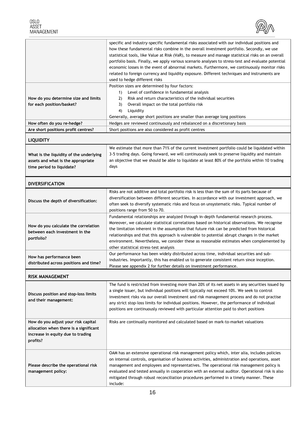

<span id="page-15-0"></span>

|                                                                                                                                | specific and industry-specific fundamental risks associated with our individual positions and<br>how these fundamental risks combine in the overall investment portfolio. Secondly, we use<br>statistical tools, like Value at Risk (VaR), to measure and manage statistical risks on an overall<br>portfolio basis. Finally, we apply various scenario analyses to stress-test and evaluate potential<br>economic losses in the event of abnormal markets. Furthermore, we continuously monitor risks<br>related to foreign currency and liquidity exposure. Different techniques and instruments are<br>used to hedge different risks |
|--------------------------------------------------------------------------------------------------------------------------------|-----------------------------------------------------------------------------------------------------------------------------------------------------------------------------------------------------------------------------------------------------------------------------------------------------------------------------------------------------------------------------------------------------------------------------------------------------------------------------------------------------------------------------------------------------------------------------------------------------------------------------------------|
| How do you determine size and limits<br>for each position/basket?                                                              | Position sizes are determined by four factors:<br>Level of confidence in fundamental analysis<br>1)<br>Risk and return characteristics of the individual securities<br>2)<br>3)<br>Overall impact on the total portfolio risk<br>4)<br>Liquidity<br>Generally, average short positions are smaller than average long positions                                                                                                                                                                                                                                                                                                          |
| How often do you re-hedge?                                                                                                     | Hedges are reviewed continuously and rebalanced on a discretionary basis                                                                                                                                                                                                                                                                                                                                                                                                                                                                                                                                                                |
| Are short positions profit centres?                                                                                            | Short positions are also considered as profit centres                                                                                                                                                                                                                                                                                                                                                                                                                                                                                                                                                                                   |
| <b>LIQUIDITY</b>                                                                                                               |                                                                                                                                                                                                                                                                                                                                                                                                                                                                                                                                                                                                                                         |
| What is the liquidity of the underlying<br>assets and what is the appropriate<br>time period to liquidate?                     | We estimate that more than 71% of the current investment portfolio could be liquidated within<br>3-5 trading days. Going forward, we will continuously seek to preserve liquidity and maintain<br>an objective that we should be able to liquidate at least 80% of the portfolio within 10 trading<br>days                                                                                                                                                                                                                                                                                                                              |
| <b>DIVERSIFICATION</b>                                                                                                         |                                                                                                                                                                                                                                                                                                                                                                                                                                                                                                                                                                                                                                         |
| Discuss the depth of diversification:                                                                                          | Risks are not additive and total portfolio risk is less than the sum of its parts because of<br>diversification between different securities. In accordance with our investment approach, we<br>often seek to diversify systematic risks and focus on unsystematic risks. Typical number of<br>positions range from 50 to 70.                                                                                                                                                                                                                                                                                                           |
| How do you calculate the correlation<br>between each investment in the<br>portfolio?                                           | Fundamental relationships are analyzed through in-depth fundamental research process.<br>Moreover, we calculate statistical correlations based on historical observations. We recognise<br>the limitation inherent in the assumption that future risk can be predicted from historical<br>relationships and that this approach is vulnerable to potential abrupt changes in the market<br>environment. Nevertheless, we consider these as reasonable estimates when complemented by<br>other statistical stress-test analysis                                                                                                           |
| How has performance been<br>distributed across positions and time?                                                             | Our performance has been widely distributed across time, individual securities and sub-<br>industries. Importantly, this has enabled us to generate consistent return since inception.<br>Please see appendix 2 for further details on investment performance.                                                                                                                                                                                                                                                                                                                                                                          |
| <b>RISK MANAGEMENT</b>                                                                                                         |                                                                                                                                                                                                                                                                                                                                                                                                                                                                                                                                                                                                                                         |
| Discuss position and stop-loss limits<br>and their management:                                                                 | The fund is restricted from investing more than 20% of its net assets in any securities issued by<br>a single issuer, but individual positions will typically not exceed 10%. We seek to control<br>investment risks via our overall investment and risk management process and do not practise<br>any strict stop-loss limits for individual positions. However, the performance of individual<br>positions are continuously reviewed with particular attention paid to short positions                                                                                                                                                |
| How do you adjust your risk capital<br>allocation when there is a significant<br>increase in equity due to trading<br>profits? | Risks are continually monitored and calculated based on mark-to-market valuations                                                                                                                                                                                                                                                                                                                                                                                                                                                                                                                                                       |
| Please describe the operational risk<br>management policy:                                                                     | OAM has an extensive operational risk management policy which, inter alia, includes policies<br>on internal controls, organisation of business activities, administration and operations, asset<br>management and employees and representatives. The operational risk management policy is<br>evaluated and tested annually in cooperation with an external auditor. Operational risk is also<br>mitigated through robust reconciliation procedures performed in a timely manner. These<br>include:                                                                                                                                     |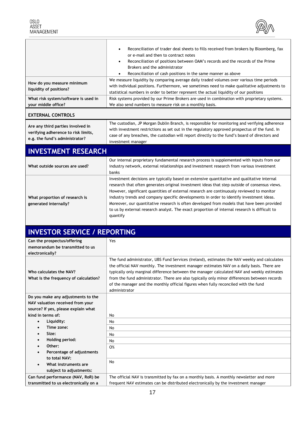

<span id="page-16-0"></span>

|                                                                                                            | Reconciliation of trader deal sheets to fills received from brokers by Bloomberg, fax<br>or e-mail and then to contract notes<br>Reconciliation of positions between OAM's records and the records of the Prime<br>$\bullet$<br>Brokers and the administrator<br>Reconciliation of cash positions in the same manner as above<br>We measure liquidity by comparing average daily traded volumes over various time periods                                                                                                                                                                        |
|------------------------------------------------------------------------------------------------------------|--------------------------------------------------------------------------------------------------------------------------------------------------------------------------------------------------------------------------------------------------------------------------------------------------------------------------------------------------------------------------------------------------------------------------------------------------------------------------------------------------------------------------------------------------------------------------------------------------|
| How do you measure minimum<br>liquidity of positions?                                                      | with individual positions. Furthermore, we sometimes need to make qualitative adjustments to<br>statistical numbers in order to better represent the actual liquidity of our positions                                                                                                                                                                                                                                                                                                                                                                                                           |
| What risk system/software is used in<br>your middle office?                                                | Risk systems provided by our Prime Brokers are used in combination with proprietary systems.<br>We also send numbers to measure risk on a monthly basis.                                                                                                                                                                                                                                                                                                                                                                                                                                         |
| <b>EXTERNAL CONTROLS</b>                                                                                   |                                                                                                                                                                                                                                                                                                                                                                                                                                                                                                                                                                                                  |
| Are any third parties involved in<br>verifying adherence to risk limits,<br>e.g. the fund's administrator? | The custodian, JP Morgan Dublin Branch, is responsible for monitoring and verifying adherence<br>with investment restrictions as set out in the regulatory approved prospectus of the fund. In<br>case of any breaches, the custodian will report directly to the fund's board of directors and<br>investment manager                                                                                                                                                                                                                                                                            |
| <b>INVESTMENT RESEARCH</b>                                                                                 |                                                                                                                                                                                                                                                                                                                                                                                                                                                                                                                                                                                                  |
| What outside sources are used?                                                                             | Our internal proprietary fundamental research process is supplemented with inputs from our<br>industry network, external relationships and investment research from various investment<br>banks                                                                                                                                                                                                                                                                                                                                                                                                  |
| What proportion of research is<br>generated internally?                                                    | Investment decisions are typically based on extensive quantitative and qualitative internal<br>research that often generates original investment ideas that step outside of consensus views.<br>However, significant quantities of external research are continuously reviewed to monitor<br>industry trends and company specific developments in order to identify investment ideas.<br>Moreover, our quantitative research is often developed from models that have been provided<br>to us by external research analyst. The exact proportion of internal research is difficult to<br>quantify |
| <b>INVESTOR SERVICE / REPORTING</b>                                                                        |                                                                                                                                                                                                                                                                                                                                                                                                                                                                                                                                                                                                  |
| Can the prospectus/offering<br>memorandum be transmitted to us<br>electronically?                          | Yes                                                                                                                                                                                                                                                                                                                                                                                                                                                                                                                                                                                              |
| Who calculates the NAV?<br>What is the frequency of calculation?<br>Do you make any adjustments to the     | The fund administrator, UBS Fund Services (Ireland), estimates the NAV weekly and calculates<br>the official NAV monthly. The investment manager estimates NAV on a daily basis. There are<br>typically only marginal difference between the manager calculated NAV and weekly estimates<br>from the fund administrator. There are also typically only minor differences between records<br>of the manager and the monthly official figures when fully reconciled with the fund<br>administrator                                                                                                 |

**NAV valuation received from your** 

 **Time zone: Size:**

**Other:**

**Holding period:**

**to total NAV: What instruments are subject to adjustments:**

**Can fund performance (NAV, RoR) be transmitted to us electronically on a** 

**source? If yes, please explain what kind in terms of: Liquidity:** No No

> No No No O%

No

**Percentage of adjustments** 

The official NAV is transmitted by fax on a monthly basis. A monthly newsletter and more frequent NAV estimates can be distributed electronically by the investment manager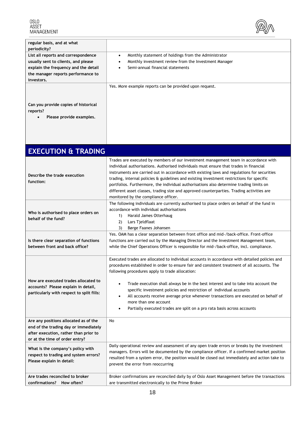

<span id="page-17-0"></span>

| regular basis, and at what<br>periodicity?                                                                                                                             |                                                                                                                                                                                  |
|------------------------------------------------------------------------------------------------------------------------------------------------------------------------|----------------------------------------------------------------------------------------------------------------------------------------------------------------------------------|
| List all reports and correspondence<br>usually sent to clients, and please<br>explain the frequency and the detail<br>the manager reports performance to<br>investors. | Monthly statement of holdings from the Administrator<br>$\bullet$<br>Monthly investment review from the Investment Manager<br>$\bullet$<br>Semi-annual financial statements<br>٠ |
| Can you provide copies of historical<br>reports?<br>Please provide examples.                                                                                           | Yes. More example reports can be provided upon request.                                                                                                                          |

| <b>EXECUTION &amp; TRADING</b>                                                                                                                            |                                                                                                                                                                                                                                                                                                                                                                                                                                                                                                                                                                                                                                  |
|-----------------------------------------------------------------------------------------------------------------------------------------------------------|----------------------------------------------------------------------------------------------------------------------------------------------------------------------------------------------------------------------------------------------------------------------------------------------------------------------------------------------------------------------------------------------------------------------------------------------------------------------------------------------------------------------------------------------------------------------------------------------------------------------------------|
| Describe the trade execution<br>function:                                                                                                                 | Trades are executed by members of our investment management team in accordance with<br>individual authorisations. Authorised individuals must ensure that trades in financial<br>instruments are carried out in accordance with existing laws and regulations for securities<br>trading, internal policies & guidelines and existing investment restrictions for specific<br>portfolios. Furthermore, the individual authorisations also determine trading limits on<br>different asset classes, trading size and approved counterparties. Trading activities are<br>monitored by the compliance officer.                        |
| Who is authorised to place orders on<br>behalf of the fund?                                                                                               | The following individuals are currently authorised to place orders on behalf of the fund in<br>accordance with individual authorisations<br>Harald James Otterhaug<br>1)<br>2)<br>Lars Tjeldflaat<br>3)<br>Børge Faanes Johansen                                                                                                                                                                                                                                                                                                                                                                                                 |
| Is there clear separation of functions<br>between front and back office?                                                                                  | Yes. OAM has a clear separation between front office and mid-/back-office. Front-office<br>functions are carried out by the Managing Director and the Investment Management team,<br>while the Chief Operations Officer is responsible for mid-/back-office, incl. compliance.                                                                                                                                                                                                                                                                                                                                                   |
| How are executed trades allocated to<br>accounts? Please explain in detail,<br>particularly with respect to split fills:                                  | Executed trades are allocated to individual accounts in accordance with detailed policies and<br>procedures established in order to ensure fair and consistent treatment of all accounts. The<br>following procedures apply to trade allocation:<br>Trade execution shall always be in the best interest and to take into account the<br>$\bullet$<br>specific investment policies and restriction of individual accounts<br>All accounts receive average price whenever transactions are executed on behalf of<br>$\bullet$<br>more than one account<br>Partially executed trades are split on a pro rata basis across accounts |
| Are any positions allocated as of the<br>end of the trading day or immediately<br>after execution, rather than prior to<br>or at the time of order entry? | No                                                                                                                                                                                                                                                                                                                                                                                                                                                                                                                                                                                                                               |
| What is the company's policy with<br>respect to trading and system errors?<br>Please explain in detail:                                                   | Daily operational review and assessment of any open trade errors or breaks by the investment<br>managers. Errors will be documented by the compliance officer. If a confirmed market position<br>resulted from a system error, the position would be closed out immediately and action take to<br>prevent the error from reoccurring                                                                                                                                                                                                                                                                                             |
| Are trades reconciled to broker<br>confirmations? How often?                                                                                              | Broker confirmations are reconciled daily by of Oslo Asset Management before the transactions<br>are transmitted electronically to the Prime Broker                                                                                                                                                                                                                                                                                                                                                                                                                                                                              |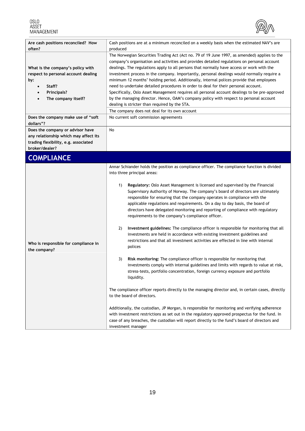

<span id="page-18-0"></span>

| Are cash positions reconciled? How<br>often?                                                                                                                   | Cash positions are at a minimum reconciled on a weekly basis when the estimated NAV's are<br>produced                                                                                                                                                                                                                                                                                                                                                                                                                                                                                                                                                                                                                                                                                                                                                                                                                                                                                                                                                                                                                                                                                                                                                                                                                                                                                                                                                                                                                                                                                                                             |
|----------------------------------------------------------------------------------------------------------------------------------------------------------------|-----------------------------------------------------------------------------------------------------------------------------------------------------------------------------------------------------------------------------------------------------------------------------------------------------------------------------------------------------------------------------------------------------------------------------------------------------------------------------------------------------------------------------------------------------------------------------------------------------------------------------------------------------------------------------------------------------------------------------------------------------------------------------------------------------------------------------------------------------------------------------------------------------------------------------------------------------------------------------------------------------------------------------------------------------------------------------------------------------------------------------------------------------------------------------------------------------------------------------------------------------------------------------------------------------------------------------------------------------------------------------------------------------------------------------------------------------------------------------------------------------------------------------------------------------------------------------------------------------------------------------------|
| What is the company's policy with<br>respect to personal account dealing<br>by:<br>Staff?<br>$\bullet$<br>Principals?<br>٠<br>The company itself?<br>$\bullet$ | The Norwegian Securities Trading Act (Act no. 79 of 19 June 1997, as amended) applies to the<br>company's organisation and activities and provides detailed regulations on personal account<br>dealings. The regulations apply to all persons that normally have access or work with the<br>investment process in the company. Importantly, personal dealings would normally require a<br>minimum 12 months' holding period. Additionally, internal polices provide that employees<br>need to undertake detailed procedures in order to deal for their personal account.<br>Specifically, Oslo Asset Management requires all personal account dealings to be pre-approved<br>by the managing director. Hence, OAM's company policy with respect to personal account<br>dealing is stricter than required by the STA.<br>The company does not deal for its own account                                                                                                                                                                                                                                                                                                                                                                                                                                                                                                                                                                                                                                                                                                                                                             |
| Does the company make use of "soft<br>dollars"?                                                                                                                | No current soft commission agreements                                                                                                                                                                                                                                                                                                                                                                                                                                                                                                                                                                                                                                                                                                                                                                                                                                                                                                                                                                                                                                                                                                                                                                                                                                                                                                                                                                                                                                                                                                                                                                                             |
| Does the company or advisor have<br>any relationship which may affect its<br>trading flexibility, e.g. associated<br>broker/dealer?                            | No                                                                                                                                                                                                                                                                                                                                                                                                                                                                                                                                                                                                                                                                                                                                                                                                                                                                                                                                                                                                                                                                                                                                                                                                                                                                                                                                                                                                                                                                                                                                                                                                                                |
| <b>COMPLIANCE</b>                                                                                                                                              |                                                                                                                                                                                                                                                                                                                                                                                                                                                                                                                                                                                                                                                                                                                                                                                                                                                                                                                                                                                                                                                                                                                                                                                                                                                                                                                                                                                                                                                                                                                                                                                                                                   |
| Who is responsible for compliance in<br>the company?                                                                                                           | Annar Schiander holds the position as compliance officer. The compliance function is divided<br>into three principal areas:<br>1)<br>Regulatory: Oslo Asset Management is licensed and supervised by the Financial<br>Supervisory Authority of Norway. The company's board of directors are ultimately<br>responsible for ensuring that the company operates in compliance with the<br>applicable regulations and requirements. On a day to day basis, the board of<br>directors have delegated monitoring and reporting of compliance with regulatory<br>requirements to the company's compliance officer.<br>Investment guidelines: The compliance officer is responsible for monitoring that all<br>2)<br>investments are held in accordance with existing investment guidelines and<br>restrictions and that all investment activities are effected in line with internal<br>polices<br>Risk monitoring: The compliance officer is responsible for monitoring that<br>3)<br>investments comply with internal guidelines and limits with regards to value at risk,<br>stress-tests, portfolio concentration, foreign currency exposure and portfolio<br>liquidity.<br>The compliance officer reports directly to the managing director and, in certain cases, directly<br>to the board of directors.<br>Additionally, the custodian, JP Morgan, is responsible for monitoring and verifying adherence<br>with investment restrictions as set out in the regulatory approved prospectus for the fund. In<br>case of any breaches, the custodian will report directly to the fund's board of directors and<br>investment manager |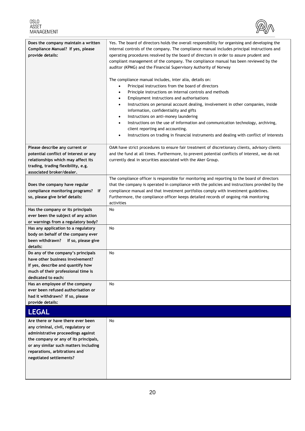<span id="page-19-0"></span>

| 0.SLO      |
|------------|
| ASSET      |
| MANAGEMENT |



| Does the company maintain a written<br>Compliance Manual? If yes, please<br>provide details:                                                                                                                                                                | Yes. The board of directors holds the overall responsibility for organising and developing the<br>internal controls of the company. The compliance manual includes principal instructions and<br>operating procedures resolved by the board of directors in order to assure prudent and<br>compliant management of the company. The compliance manual has been reviewed by the<br>auditor (KPMG) and the Financial Supervisory Authority of Norway<br>The compliance manual includes, inter alia, details on:<br>Principal instructions from the board of directors<br>$\bullet$<br>Principle instructions on internal controls and methods<br>$\bullet$<br>Employment instructions and authorisations<br>$\bullet$<br>Instructions on personal account dealing, involvement in other companies, inside<br>$\bullet$<br>information, confidentiality and gifts<br>Instructions on anti-money laundering<br>$\bullet$<br>Instructions on the use of information and communication technology, archiving,<br>$\bullet$<br>client reporting and accounting.<br>Instructions on trading in financial instruments and dealing with conflict of interests<br>$\bullet$ |
|-------------------------------------------------------------------------------------------------------------------------------------------------------------------------------------------------------------------------------------------------------------|------------------------------------------------------------------------------------------------------------------------------------------------------------------------------------------------------------------------------------------------------------------------------------------------------------------------------------------------------------------------------------------------------------------------------------------------------------------------------------------------------------------------------------------------------------------------------------------------------------------------------------------------------------------------------------------------------------------------------------------------------------------------------------------------------------------------------------------------------------------------------------------------------------------------------------------------------------------------------------------------------------------------------------------------------------------------------------------------------------------------------------------------------------------|
| Please describe any current or<br>potential conflict of interest or any<br>relationships which may affect its<br>trading, trading flexibility, e.g.<br>associated broker/dealer.                                                                            | OAM have strict procedures to ensure fair treatment of discretionary clients, advisory clients<br>and the fund at all times. Furthermore, to prevent potential conflicts of interest, we do not<br>currently deal in securities associated with the Aker Group.                                                                                                                                                                                                                                                                                                                                                                                                                                                                                                                                                                                                                                                                                                                                                                                                                                                                                                  |
| Does the company have regular<br>compliance monitoring programs?<br>lf<br>so, please give brief details:                                                                                                                                                    | The compliance officer is responsible for monitoring and reporting to the board of directors<br>that the company is operated in compliance with the policies and instructions provided by the<br>compliance manual and that investment portfolios comply with investment guidelines.<br>Furthermore, the compliance officer keeps detailed records of ongoing risk monitoring<br>activities                                                                                                                                                                                                                                                                                                                                                                                                                                                                                                                                                                                                                                                                                                                                                                      |
| Has the company or its principals<br>ever been the subject of any action<br>or warnings from a regulatory body?                                                                                                                                             | No                                                                                                                                                                                                                                                                                                                                                                                                                                                                                                                                                                                                                                                                                                                                                                                                                                                                                                                                                                                                                                                                                                                                                               |
| Has any application to a regulatory<br>body on behalf of the company ever<br>been withdrawn?<br>If so, please give<br>details:                                                                                                                              | No                                                                                                                                                                                                                                                                                                                                                                                                                                                                                                                                                                                                                                                                                                                                                                                                                                                                                                                                                                                                                                                                                                                                                               |
| Do any of the company's principals<br>have other business involvement?<br>If yes, describe and quantify how<br>much of their professional time is<br>dedicated to each:                                                                                     | No                                                                                                                                                                                                                                                                                                                                                                                                                                                                                                                                                                                                                                                                                                                                                                                                                                                                                                                                                                                                                                                                                                                                                               |
| Has an employee of the company<br>ever been refused authorisation or<br>had it withdrawn? If so, please<br>provide details:                                                                                                                                 | No                                                                                                                                                                                                                                                                                                                                                                                                                                                                                                                                                                                                                                                                                                                                                                                                                                                                                                                                                                                                                                                                                                                                                               |
| <b>LEGAL</b>                                                                                                                                                                                                                                                |                                                                                                                                                                                                                                                                                                                                                                                                                                                                                                                                                                                                                                                                                                                                                                                                                                                                                                                                                                                                                                                                                                                                                                  |
| Are there or have there ever been<br>any criminal, civil, regulatory or<br>administrative proceedings against<br>the company or any of its principals,<br>or any similar such matters including<br>reparations, arbitrations and<br>negotiated settlements? | No                                                                                                                                                                                                                                                                                                                                                                                                                                                                                                                                                                                                                                                                                                                                                                                                                                                                                                                                                                                                                                                                                                                                                               |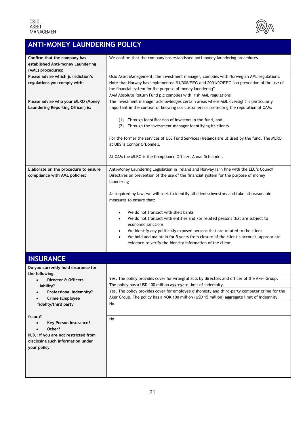

## <span id="page-20-0"></span>**ANTI-MONEY LAUNDERING POLICY**

| Confirm that the company has<br>established Anti-money Laundering<br>(AML) procedures:                                                                                                                                                                                                                                  | We confirm that the company has established anti-money laundering procedures                                                                                                                                                                                                                                                                                                                                                                                                                                                                                                                                                                                                                                                                |
|-------------------------------------------------------------------------------------------------------------------------------------------------------------------------------------------------------------------------------------------------------------------------------------------------------------------------|---------------------------------------------------------------------------------------------------------------------------------------------------------------------------------------------------------------------------------------------------------------------------------------------------------------------------------------------------------------------------------------------------------------------------------------------------------------------------------------------------------------------------------------------------------------------------------------------------------------------------------------------------------------------------------------------------------------------------------------------|
| Please advise which jurisdiction's<br>regulations you comply with:                                                                                                                                                                                                                                                      | Oslo Asset Management, the investment manager, complies with Norwegian AML regulations.<br>Note that Norway has implemented 91/308/EEC and 2001/97/EEC "on prevention of the use of<br>the financial system for the purpose of money laundering".<br>AAM Absolute Return Fund plc complies with Irish AML regulations                                                                                                                                                                                                                                                                                                                                                                                                                       |
| Please advise who your MLRO (Money<br>Laundering Reporting Officer) is:                                                                                                                                                                                                                                                 | The investment manager acknowledges certain areas where AML oversight is particularly<br>important in the context of knowing our customers or protecting the reputation of OAM:<br>(1) Through identification of investors in the fund, and<br>Through the investment manager identifying its clients<br>(2)<br>For the former the services of UBS Fund Services (Ireland) are utilised by the fund. The MLRO<br>at UBS is Connor O'Donnell.<br>At OAM the MLRO is the Compliance Officer, Annar Schiander.                                                                                                                                                                                                                                 |
| Elaborate on the procedure to ensure<br>compliance with AML policies:                                                                                                                                                                                                                                                   | Anti-Money Laundering Legislation in Ireland and Norway is in line with the EEC's Council<br>Directives on prevention of the use of the financial system for the purpose of money<br>laundering<br>As required by law, we will seek to identify all clients/investors and take all reasonable<br>measures to ensure that:<br>We do not transact with shell banks<br>٠<br>We do not transact with entities and /or related persons that are subject to<br>٠<br>economic sanctions<br>We identify any politically exposed persons that are related to the client<br>$\bullet$<br>We hold and maintain for 5 years from closure of the client's account, appropriate<br>$\bullet$<br>evidence to verify the identity information of the client |
| <b>INSURANCE</b>                                                                                                                                                                                                                                                                                                        |                                                                                                                                                                                                                                                                                                                                                                                                                                                                                                                                                                                                                                                                                                                                             |
| Do you currently hold insurance for<br>the following:<br>Director & Officers<br>$\bullet$<br>Liability?<br>Professional Indemnity?<br>Crime (Employee<br>fidelity/third party<br>fraud)?<br>Key Person Insurance?<br>Other?<br>N.B.: if you are not restricted from<br>disclosing such information under<br>your policy | Yes. The policy provides cover for wrongful acts by directors and officer of the Aker Group.<br>The policy has a USD 100 million aggregate limit of indemnity.<br>Yes. The policy provides cover for employee dishonesty and third-party computer crime for the<br>Aker Group. The policy has a NOK 100 million (USD 15 million) aggregate limit of indemnity.<br>No.<br>No                                                                                                                                                                                                                                                                                                                                                                 |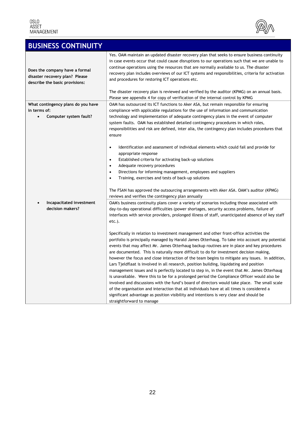

<span id="page-21-0"></span>

| <b>BUSINESS CONTINUITY</b>                                                                         |                                                                                                                                                                                                                                                                                                                                                                                                                                                                                                                                                                                                                                                                                                                                                                                                                                                                                                                                                                                                                                                                                                                                                                                                                                                                                                                                                                                                                     |
|----------------------------------------------------------------------------------------------------|---------------------------------------------------------------------------------------------------------------------------------------------------------------------------------------------------------------------------------------------------------------------------------------------------------------------------------------------------------------------------------------------------------------------------------------------------------------------------------------------------------------------------------------------------------------------------------------------------------------------------------------------------------------------------------------------------------------------------------------------------------------------------------------------------------------------------------------------------------------------------------------------------------------------------------------------------------------------------------------------------------------------------------------------------------------------------------------------------------------------------------------------------------------------------------------------------------------------------------------------------------------------------------------------------------------------------------------------------------------------------------------------------------------------|
| Does the company have a formal<br>disaster recovery plan? Please<br>describe the basic provisions: | Yes. OAM maintain an updated disaster recovery plan that seeks to ensure business continuity<br>in case events occur that could cause disruptions to our operations such that we are unable to<br>continue operations using the resources that are normally available to us. The disaster<br>recovery plan includes overviews of our ICT systems and responsibilities, criteria for activation<br>and procedures for restoring ICT operations etc.<br>The disaster recovery plan is reviewed and verified by the auditor (KPMG) on an annual basis.<br>Please see appendix 4 for copy of verification of the internal control by KPMG                                                                                                                                                                                                                                                                                                                                                                                                                                                                                                                                                                                                                                                                                                                                                                               |
| What contingency plans do you have<br>in terms of:<br>Computer system fault?<br>$\bullet$          | OAM has outsourced its ICT functions to Aker ASA, but remain responsible for ensuring<br>compliance with applicable regulations for the use of information and communication<br>technology and implementation of adequate contingency plans in the event of computer<br>system faults. OAM has established detailed contingency procedures in which roles,<br>responsibilities and risk are defined, inter alia, the contingency plan includes procedures that<br>ensure                                                                                                                                                                                                                                                                                                                                                                                                                                                                                                                                                                                                                                                                                                                                                                                                                                                                                                                                            |
|                                                                                                    | Identification and assessment of individual elements which could fail and provide for<br>$\bullet$<br>appropriate response<br>Established criteria for activating back-up solutions<br>$\bullet$<br>Adequate recovery procedures<br>$\bullet$<br>Directions for informing management, employees and suppliers<br>$\bullet$<br>Training, exercises and tests of back-up solutions<br>$\bullet$<br>The FSAN has approved the outsourcing arrangements with Aker ASA. OAM's auditor (KPMG)<br>reviews and verifies the contingency plan annually                                                                                                                                                                                                                                                                                                                                                                                                                                                                                                                                                                                                                                                                                                                                                                                                                                                                       |
| Incapacitated investment<br>decision makers?                                                       | OAM's business continuity plans cover a variety of scenarios including those associated with<br>day-to-day operational difficulties (power shortages, security access problems, failure of<br>interfaces with service providers, prolonged illness of staff, unanticipated absence of key staff<br>etc.).<br>Specifically in relation to investment management and other front-office activities the<br>portfolio is principally managed by Harald James Otterhaug. To take into account any potential<br>events that may affect Mr. James Otterhaug backup routines are in place and key procedures<br>are documented. This is naturally more difficult to do for investment decision making,<br>however the focus and close interaction of the team begins to mitigate any issues. In addition,<br>Lars Tjeldflaat is involved in all research, position building, liquidating and position<br>management issues and is perfectly located to step in, in the event that Mr. James Otterhaug<br>is unavailable. Were this to be for a prolonged period the Compliance Officer would also be<br>involved and discussions with the fund's board of directors would take place. The small scale<br>of the organisation and interaction that all individuals have at all times is considered a<br>significant advantage as position visibility and intentions is very clear and should be<br>straightforward to manage |